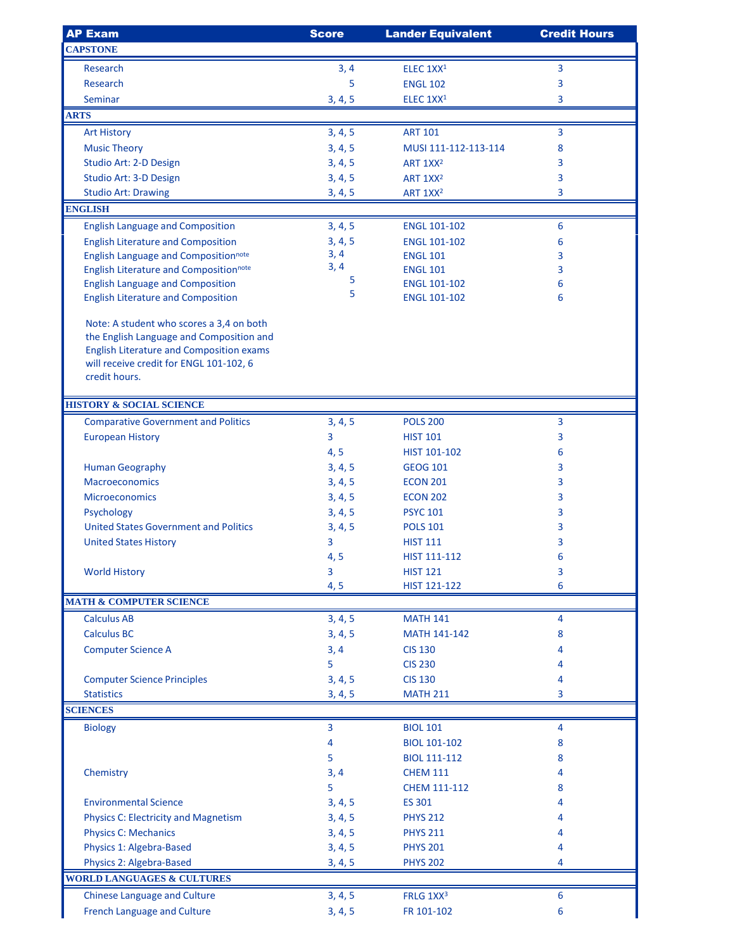| <b>AP Exam</b>                                                                           | <b>Score</b>       | <b>Lander Equivalent</b>                     | <b>Credit Hours</b> |
|------------------------------------------------------------------------------------------|--------------------|----------------------------------------------|---------------------|
| <b>CAPSTONE</b>                                                                          |                    |                                              |                     |
| Research                                                                                 | 3, 4               | ELEC 1XX <sup>1</sup>                        | 3                   |
| Research                                                                                 | 5                  | <b>ENGL 102</b>                              | 3                   |
| Seminar                                                                                  | 3, 4, 5            | ELEC 1XX <sup>1</sup>                        | 3                   |
| <b>ARTS</b>                                                                              |                    |                                              |                     |
| <b>Art History</b>                                                                       | 3, 4, 5            | <b>ART 101</b>                               | 3                   |
|                                                                                          |                    | MUSI 111-112-113-114                         |                     |
| <b>Music Theory</b><br>Studio Art: 2-D Design                                            | 3, 4, 5            |                                              | 8<br>3              |
| Studio Art: 3-D Design                                                                   | 3, 4, 5<br>3, 4, 5 | ART 1XX <sup>2</sup>                         |                     |
|                                                                                          |                    | ART 1XX <sup>2</sup><br>ART 1XX <sup>2</sup> | 3<br>3              |
| <b>Studio Art: Drawing</b><br><b>ENGLISH</b>                                             | 3, 4, 5            |                                              |                     |
| <b>English Language and Composition</b>                                                  | 3, 4, 5            | <b>ENGL 101-102</b>                          | 6                   |
|                                                                                          | 3, 4, 5            | <b>ENGL 101-102</b>                          | 6                   |
| <b>English Literature and Composition</b><br><b>English Language and Compositionnote</b> | 3, 4               | <b>ENGL 101</b>                              | 3                   |
| <b>English Literature and Compositionnote</b>                                            | 3, 4               | <b>ENGL 101</b>                              | 3                   |
| <b>English Language and Composition</b>                                                  | 5                  | <b>ENGL 101-102</b>                          | 6                   |
| <b>English Literature and Composition</b>                                                | 5                  | <b>ENGL 101-102</b>                          | 6                   |
|                                                                                          |                    |                                              |                     |
| Note: A student who scores a 3,4 on both                                                 |                    |                                              |                     |
| the English Language and Composition and                                                 |                    |                                              |                     |
| <b>English Literature and Composition exams</b>                                          |                    |                                              |                     |
| will receive credit for ENGL 101-102, 6<br>credit hours.                                 |                    |                                              |                     |
|                                                                                          |                    |                                              |                     |
| <b>HISTORY &amp; SOCIAL SCIENCE</b>                                                      |                    |                                              |                     |
| <b>Comparative Government and Politics</b>                                               | 3, 4, 5            | <b>POLS 200</b>                              | 3                   |
| <b>European History</b>                                                                  | 3                  | <b>HIST 101</b>                              | 3                   |
|                                                                                          | 4, 5               | HIST 101-102                                 | 6                   |
| <b>Human Geography</b>                                                                   | 3, 4, 5            | <b>GEOG 101</b>                              | 3                   |
| <b>Macroeconomics</b>                                                                    | 3, 4, 5            | <b>ECON 201</b>                              | 3                   |
| <b>Microeconomics</b>                                                                    | 3, 4, 5            | <b>ECON 202</b>                              | 3                   |
| Psychology                                                                               | 3, 4, 5            | <b>PSYC 101</b>                              | 3                   |
| <b>United States Government and Politics</b>                                             | 3, 4, 5            | <b>POLS 101</b>                              | 3                   |
| <b>United States History</b>                                                             | 3                  | <b>HIST 111</b>                              | 3                   |
|                                                                                          | 4, 5               | HIST 111-112                                 | 6                   |
| <b>World History</b>                                                                     | 3                  | <b>HIST 121</b>                              | 3                   |
|                                                                                          | 4, 5               | HIST 121-122                                 | 6                   |
| <b>MATH &amp; COMPUTER SCIENCE</b>                                                       |                    |                                              |                     |
| <b>Calculus AB</b>                                                                       | 3, 4, 5            | <b>MATH 141</b>                              | 4                   |
| <b>Calculus BC</b>                                                                       | 3, 4, 5            | <b>MATH 141-142</b>                          | 8                   |
| <b>Computer Science A</b>                                                                | 3, 4               | <b>CIS 130</b>                               | 4                   |
|                                                                                          | 5                  | <b>CIS 230</b>                               | 4                   |
| <b>Computer Science Principles</b>                                                       | 3, 4, 5            | <b>CIS 130</b>                               | 4                   |
| <b>Statistics</b>                                                                        |                    | <b>MATH 211</b>                              | 3                   |
| <b>SCIENCES</b>                                                                          | 3, 4, 5            |                                              |                     |
|                                                                                          | 3                  | <b>BIOL 101</b>                              | 4                   |
| <b>Biology</b>                                                                           |                    |                                              |                     |
|                                                                                          | 4                  | <b>BIOL 101-102</b>                          | 8                   |
|                                                                                          | 5                  | <b>BIOL 111-112</b>                          | 8                   |
| Chemistry                                                                                | 3, 4               | <b>CHEM 111</b>                              | 4                   |
|                                                                                          | 5                  | CHEM 111-112                                 | 8                   |
| <b>Environmental Science</b>                                                             | 3, 4, 5            | ES 301                                       | 4                   |
| <b>Physics C: Electricity and Magnetism</b>                                              | 3, 4, 5            | <b>PHYS 212</b>                              | 4                   |
| <b>Physics C: Mechanics</b>                                                              | 3, 4, 5            | <b>PHYS 211</b>                              | 4                   |
| Physics 1: Algebra-Based                                                                 | 3, 4, 5            | <b>PHYS 201</b>                              | 4                   |
| Physics 2: Algebra-Based                                                                 | 3, 4, 5            | <b>PHYS 202</b>                              | 4                   |
| <b>WORLD LANGUAGES &amp; CULTURES</b>                                                    |                    |                                              |                     |
| <b>Chinese Language and Culture</b>                                                      | 3, 4, 5            | FRLG 1XX <sup>3</sup>                        | 6                   |
| <b>French Language and Culture</b>                                                       | 3, 4, 5            | FR 101-102                                   | 6                   |